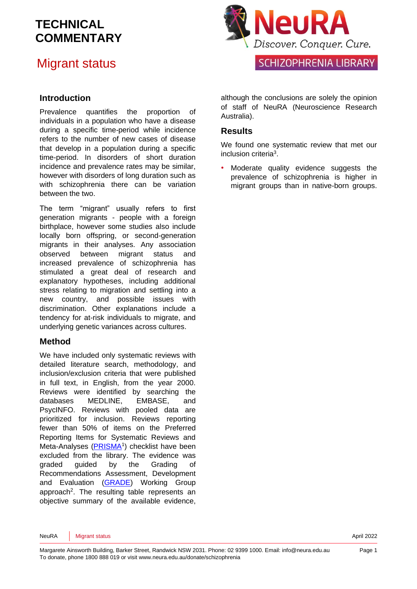#### Migrant status

#### **Introduction**

Prevalence quantifies the proportion of individuals in a population who have a disease during a specific time-period while incidence refers to the number of new cases of disease that develop in a population during a specific time-period. In disorders of short duration incidence and prevalence rates may be similar, however with disorders of long duration such as with schizophrenia there can be variation between the two.

The term "migrant" usually refers to first generation migrants - people with a foreign birthplace, however some studies also include locally born offspring, or second-generation migrants in their analyses. Any association observed between migrant status and increased prevalence of schizophrenia has stimulated a great deal of research and explanatory hypotheses, including additional stress relating to migration and settling into a new country, and possible issues with discrimination. Other explanations include a tendency for at-risk individuals to migrate, and underlying genetic variances across cultures.

#### **Method**

We have included only systematic reviews with detailed literature search, methodology, and inclusion/exclusion criteria that were published in full text, in English, from the year 2000. Reviews were identified by searching the databases MEDLINE, EMBASE, and PsycINFO. Reviews with pooled data are prioritized for inclusion. Reviews reporting fewer than 50% of items on the Preferred Reporting Items for Systematic Reviews and Meta-Analyses [\(PRISMA](http://www.prisma-statement.org/)<sup>1</sup>) checklist have been excluded from the library. The evidence was graded guided by the Grading of Recommendations Assessment, Development and Evaluation [\(GRADE\)](http://www.gradeworkinggroup.org/) Working Group approach<sup>2</sup>. The resulting table represents an objective summary of the available evidence,



although the conclusions are solely the opinion of staff of NeuRA (Neuroscience Research Australia).

#### **Results**

We found one systematic review that met our inclusion criteria<sup>3</sup> .

Moderate quality evidence suggests the prevalence of schizophrenia is higher in migrant groups than in native-born groups.

NeuRA Migrant status and the status and the status and the status and the status and the status and the status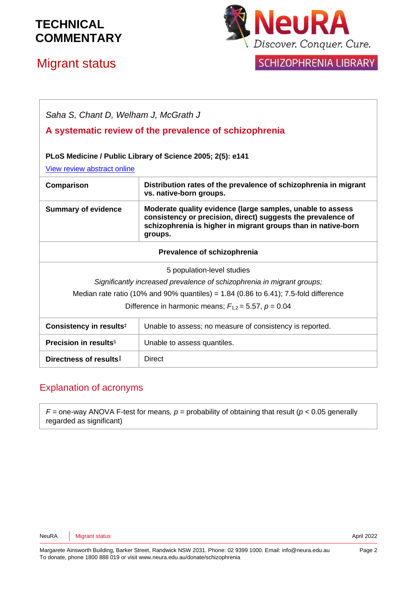# Migrant status



SCHIZOPHRENIA LIBRARY

| Saha S, Chant D, Welham J, McGrath J                                                      |                                                                                                                                                                                                        |
|-------------------------------------------------------------------------------------------|--------------------------------------------------------------------------------------------------------------------------------------------------------------------------------------------------------|
| A systematic review of the prevalence of schizophrenia                                    |                                                                                                                                                                                                        |
| PLoS Medicine / Public Library of Science 2005; 2(5): e141<br>View review abstract online |                                                                                                                                                                                                        |
| Comparison                                                                                | Distribution rates of the prevalence of schizophrenia in migrant<br>vs. native-born groups.                                                                                                            |
| <b>Summary of evidence</b>                                                                | Moderate quality evidence (large samples, unable to assess<br>consistency or precision, direct) suggests the prevalence of<br>schizophrenia is higher in migrant groups than in native-born<br>groups. |
| Prevalence of schizophrenia                                                               |                                                                                                                                                                                                        |
| 5 population-level studies                                                                |                                                                                                                                                                                                        |
| Significantly increased prevalence of schizophrenia in migrant groups;                    |                                                                                                                                                                                                        |
| Median rate ratio (10% and 90% quantiles) = $1.84$ (0.86 to 6.41); 7.5-fold difference    |                                                                                                                                                                                                        |
| Difference in harmonic means; $F_{1,2} = 5.57$ , $p = 0.04$                               |                                                                                                                                                                                                        |
| Consistency in results <sup>‡</sup>                                                       | Unable to assess; no measure of consistency is reported.                                                                                                                                               |
| <b>Precision in results</b> §                                                             | Unable to assess quantiles.                                                                                                                                                                            |
| Directness of results                                                                     | <b>Direct</b>                                                                                                                                                                                          |

#### Explanation of acronyms

 $F =$  one-way ANOVA F-test for means,  $p =$  probability of obtaining that result ( $p < 0.05$  generally regarded as significant)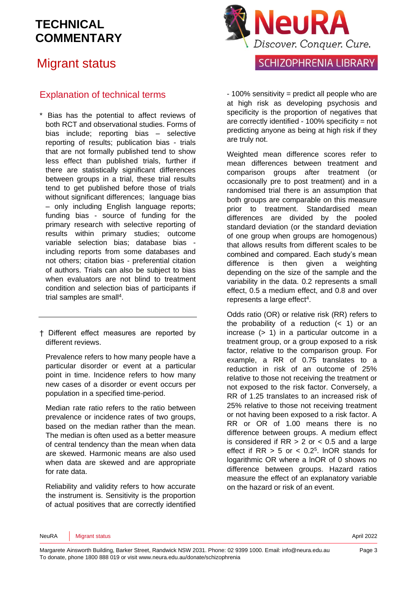## Migrant status

#### Explanation of technical terms

- \* Bias has the potential to affect reviews of both RCT and observational studies. Forms of bias include; reporting bias – selective reporting of results; publication bias - trials that are not formally published tend to show less effect than published trials, further if there are statistically significant differences between groups in a trial, these trial results tend to get published before those of trials without significant differences; language bias – only including English language reports; funding bias - source of funding for the primary research with selective reporting of results within primary studies; outcome variable selection bias; database bias including reports from some databases and not others; citation bias - preferential citation of authors. Trials can also be subject to bias when evaluators are not blind to treatment condition and selection bias of participants if trial samples are small<sup>4</sup>.
- † Different effect measures are reported by different reviews.

Prevalence refers to how many people have a particular disorder or event at a particular point in time. Incidence refers to how many new cases of a disorder or event occurs per population in a specified time-period.

Median rate ratio refers to the ratio between prevalence or incidence rates of two groups, based on the median rather than the mean. The median is often used as a better measure of central tendency than the mean when data are skewed. Harmonic means are also used when data are skewed and are appropriate for rate data.

Reliability and validity refers to how accurate the instrument is. Sensitivity is the proportion of actual positives that are correctly identified



**SCHIZOPHRENIA LIBRARY** 

- 100% sensitivity = predict all people who are at high risk as developing psychosis and specificity is the proportion of negatives that are correctly identified - 100% specificity = not predicting anyone as being at high risk if they are truly not.

Weighted mean difference scores refer to mean differences between treatment and comparison groups after treatment (or occasionally pre to post treatment) and in a randomised trial there is an assumption that both groups are comparable on this measure prior to treatment. Standardised mean differences are divided by the pooled standard deviation (or the standard deviation of one group when groups are homogenous) that allows results from different scales to be combined and compared. Each study's mean difference is then given a weighting depending on the size of the sample and the variability in the data. 0.2 represents a small effect, 0.5 a medium effect, and 0.8 and over represents a large effect<sup>4</sup>.

Odds ratio (OR) or relative risk (RR) refers to the probability of a reduction  $( $1$ )$  or an increase (> 1) in a particular outcome in a treatment group, or a group exposed to a risk factor, relative to the comparison group. For example, a RR of 0.75 translates to a reduction in risk of an outcome of 25% relative to those not receiving the treatment or not exposed to the risk factor. Conversely, a RR of 1.25 translates to an increased risk of 25% relative to those not receiving treatment or not having been exposed to a risk factor. A RR or OR of 1.00 means there is no difference between groups. A medium effect is considered if  $RR > 2$  or  $< 0.5$  and a large effect if  $RR > 5$  or  $< 0.2<sup>5</sup>$ . InOR stands for logarithmic OR where a lnOR of 0 shows no difference between groups. Hazard ratios measure the effect of an explanatory variable on the hazard or risk of an event.

NeuRA Migrant status **April 2022**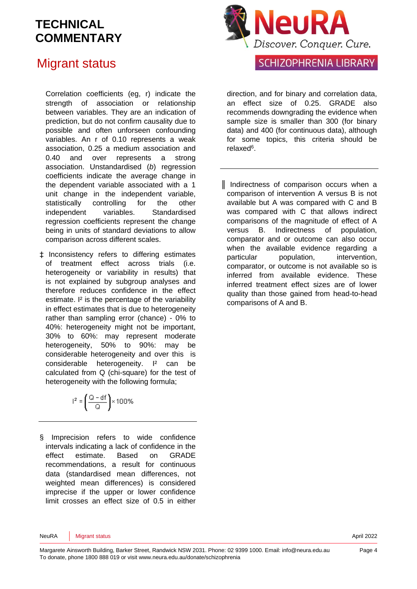#### Migrant status

Correlation coefficients (eg, r) indicate the strength of association or relationship between variables. They are an indication of prediction, but do not confirm causality due to possible and often unforseen confounding variables. An r of 0.10 represents a weak association, 0.25 a medium association and 0.40 and over represents a strong association. Unstandardised (*b*) regression coefficients indicate the average change in the dependent variable associated with a 1 unit change in the independent variable, statistically controlling for the other independent variables. Standardised regression coefficients represent the change being in units of standard deviations to allow comparison across different scales.

‡ Inconsistency refers to differing estimates of treatment effect across trials (i.e. heterogeneity or variability in results) that is not explained by subgroup analyses and therefore reduces confidence in the effect estimate. I² is the percentage of the variability in effect estimates that is due to heterogeneity rather than sampling error (chance) - 0% to 40%: heterogeneity might not be important, 30% to 60%: may represent moderate heterogeneity, 50% to 90%: may be considerable heterogeneity and over this is considerable heterogeneity. I² can be calculated from Q (chi-square) for the test of heterogeneity with the following formula;

$$
I^2 = \left(\frac{Q - df}{Q}\right) \times 100\%
$$

§ Imprecision refers to wide confidence intervals indicating a lack of confidence in the effect estimate. Based on GRADE recommendations, a result for continuous data (standardised mean differences, not weighted mean differences) is considered imprecise if the upper or lower confidence limit crosses an effect size of 0.5 in either



#### **SCHIZOPHRENIA LIBRARY**

direction, and for binary and correlation data, an effect size of 0.25. GRADE also recommends downgrading the evidence when sample size is smaller than 300 (for binary data) and 400 (for continuous data), although for some topics, this criteria should be relaxed<sup>6</sup>.

║ Indirectness of comparison occurs when a comparison of intervention A versus B is not available but A was compared with C and B was compared with C that allows indirect comparisons of the magnitude of effect of A versus B. Indirectness of population, comparator and or outcome can also occur when the available evidence regarding a particular population, intervention, comparator, or outcome is not available so is inferred from available evidence. These inferred treatment effect sizes are of lower quality than those gained from head-to-head comparisons of A and B.

NeuRA Migrant status **April 2022**